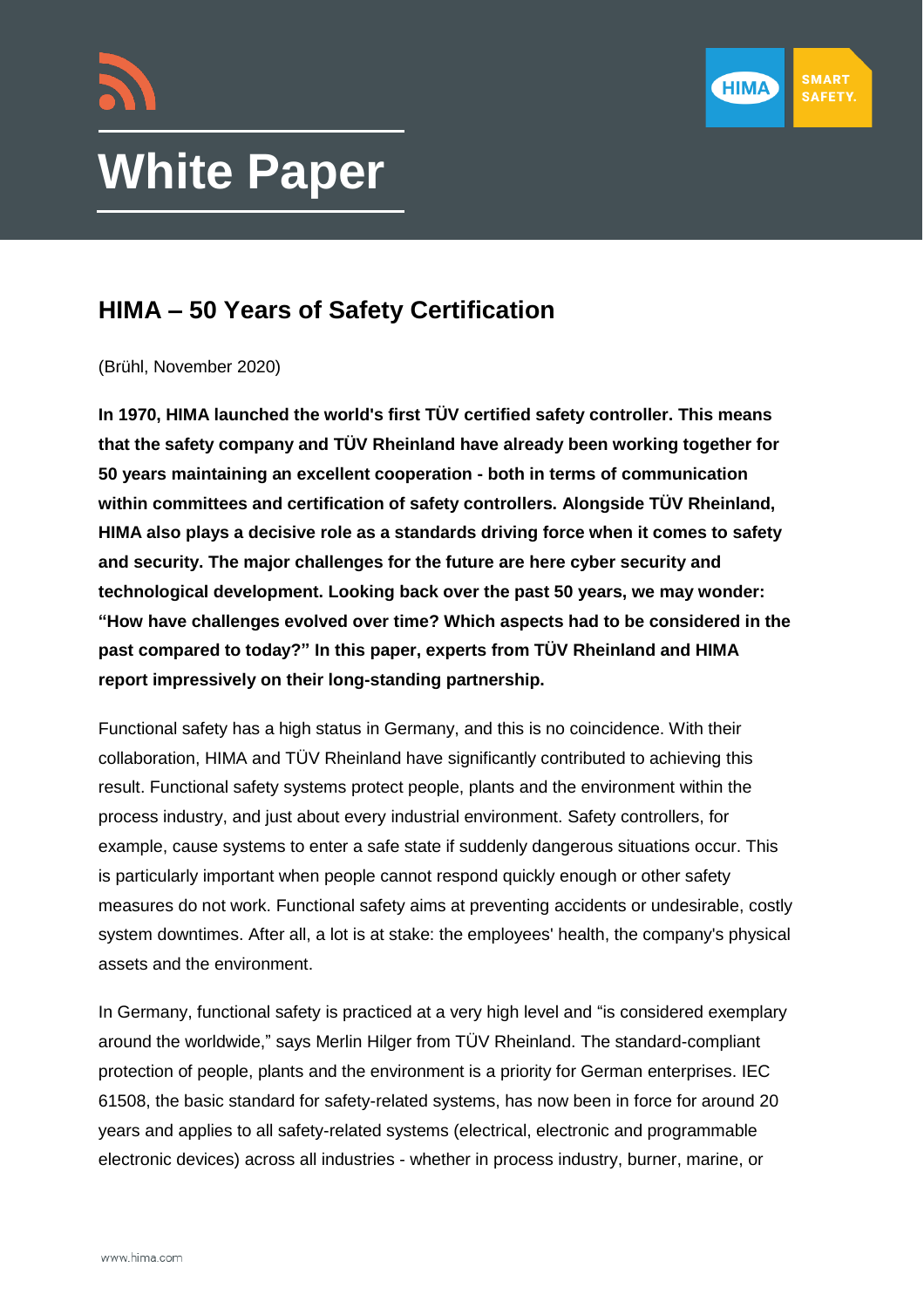



# **White Paper**

## **HIMA – 50 Years of Safety Certification**

(Brühl, November 2020)

**In 1970, HIMA launched the world's first TÜV certified safety controller. This means that the safety company and TÜV Rheinland have already been working together for 50 years maintaining an excellent cooperation - both in terms of communication within committees and certification of safety controllers. Alongside TÜV Rheinland, HIMA also plays a decisive role as a standards driving force when it comes to safety and security. The major challenges for the future are here cyber security and technological development. Looking back over the past 50 years, we may wonder: "How have challenges evolved over time? Which aspects had to be considered in the past compared to today?" In this paper, experts from TÜV Rheinland and HIMA report impressively on their long-standing partnership.**

Functional safety has a high status in Germany, and this is no coincidence. With their collaboration, HIMA and TÜV Rheinland have significantly contributed to achieving this result. Functional safety systems protect people, plants and the environment within the process industry, and just about every industrial environment. Safety controllers, for example, cause systems to enter a safe state if suddenly dangerous situations occur. This is particularly important when people cannot respond quickly enough or other safety measures do not work. Functional safety aims at preventing accidents or undesirable, costly system downtimes. After all, a lot is at stake: the employees' health, the company's physical assets and the environment.

In Germany, functional safety is practiced at a very high level and "is considered exemplary around the worldwide," says Merlin Hilger from TÜV Rheinland. The standard-compliant protection of people, plants and the environment is a priority for German enterprises. IEC 61508, the basic standard for safety-related systems, has now been in force for around 20 years and applies to all safety-related systems (electrical, electronic and programmable electronic devices) across all industries - whether in process industry, burner, marine, or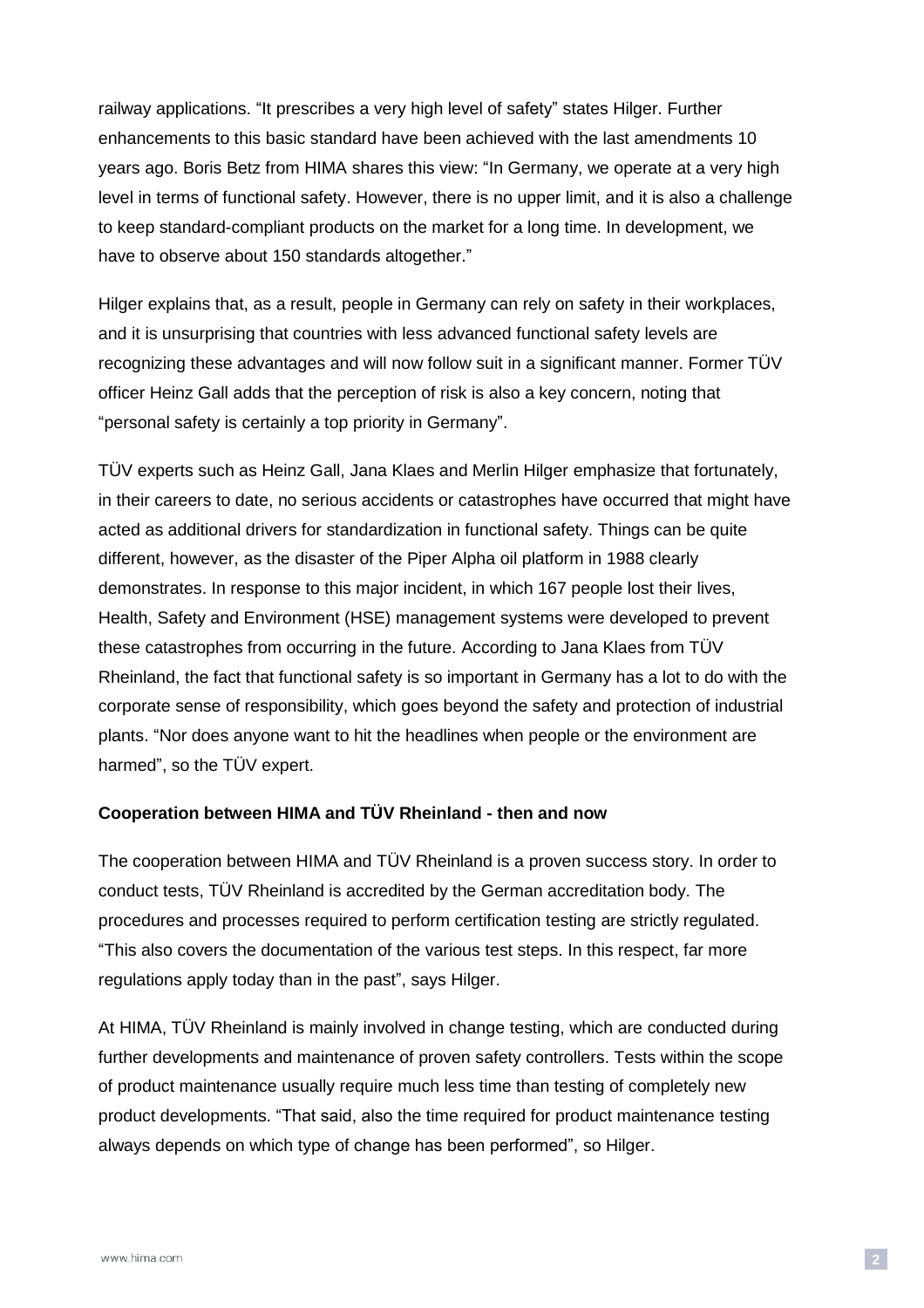railway applications. "It prescribes a very high level of safety" states Hilger. Further enhancements to this basic standard have been achieved with the last amendments 10 years ago. Boris Betz from HIMA shares this view: "In Germany, we operate at a very high level in terms of functional safety. However, there is no upper limit, and it is also a challenge to keep standard-compliant products on the market for a long time. In development, we have to observe about 150 standards altogether."

Hilger explains that, as a result, people in Germany can rely on safety in their workplaces, and it is unsurprising that countries with less advanced functional safety levels are recognizing these advantages and will now follow suit in a significant manner. Former TÜV officer Heinz Gall adds that the perception of risk is also a key concern, noting that "personal safety is certainly a top priority in Germany".

TÜV experts such as Heinz Gall, Jana Klaes and Merlin Hilger emphasize that fortunately, in their careers to date, no serious accidents or catastrophes have occurred that might have acted as additional drivers for standardization in functional safety. Things can be quite different, however, as the disaster of the Piper Alpha oil platform in 1988 clearly demonstrates. In response to this major incident, in which 167 people lost their lives, Health, Safety and Environment (HSE) management systems were developed to prevent these catastrophes from occurring in the future. According to Jana Klaes from TÜV Rheinland, the fact that functional safety is so important in Germany has a lot to do with the corporate sense of responsibility, which goes beyond the safety and protection of industrial plants. "Nor does anyone want to hit the headlines when people or the environment are harmed", so the TÜV expert.

#### **Cooperation between HIMA and TÜV Rheinland - then and now**

The cooperation between HIMA and TÜV Rheinland is a proven success story. In order to conduct tests, TÜV Rheinland is accredited by the German accreditation body. The procedures and processes required to perform certification testing are strictly regulated. "This also covers the documentation of the various test steps. In this respect, far more regulations apply today than in the past", says Hilger.

At HIMA, TÜV Rheinland is mainly involved in change testing, which are conducted during further developments and maintenance of proven safety controllers. Tests within the scope of product maintenance usually require much less time than testing of completely new product developments. "That said, also the time required for product maintenance testing always depends on which type of change has been performed", so Hilger.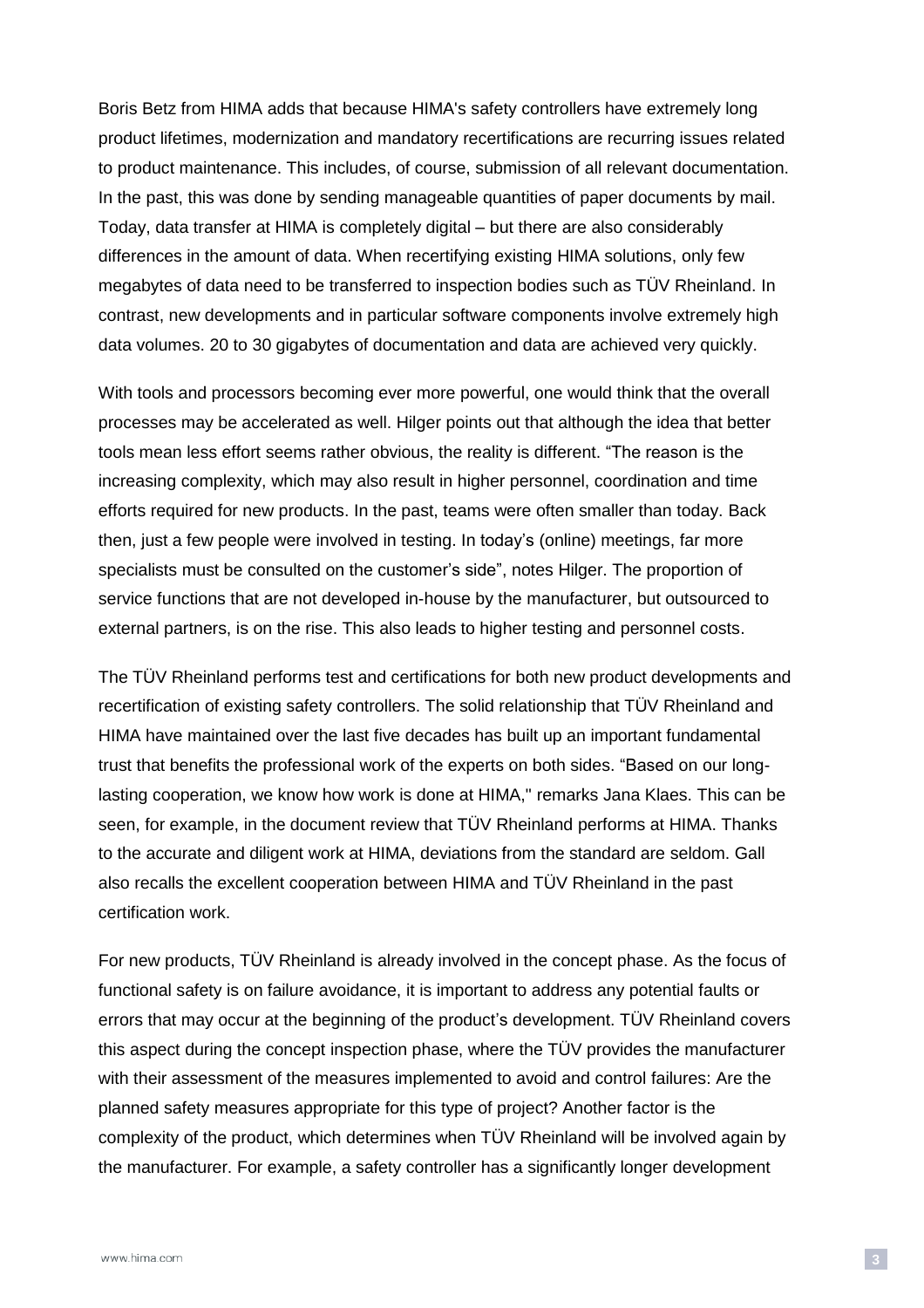Boris Betz from HIMA adds that because HIMA's safety controllers have extremely long product lifetimes, modernization and mandatory recertifications are recurring issues related to product maintenance. This includes, of course, submission of all relevant documentation. In the past, this was done by sending manageable quantities of paper documents by mail. Today, data transfer at HIMA is completely digital – but there are also considerably differences in the amount of data. When recertifying existing HIMA solutions, only few megabytes of data need to be transferred to inspection bodies such as TÜV Rheinland. In contrast, new developments and in particular software components involve extremely high data volumes. 20 to 30 gigabytes of documentation and data are achieved very quickly.

With tools and processors becoming ever more powerful, one would think that the overall processes may be accelerated as well. Hilger points out that although the idea that better tools mean less effort seems rather obvious, the reality is different. "The reason is the increasing complexity, which may also result in higher personnel, coordination and time efforts required for new products. In the past, teams were often smaller than today. Back then, just a few people were involved in testing. In today's (online) meetings, far more specialists must be consulted on the customer's side", notes Hilger. The proportion of service functions that are not developed in-house by the manufacturer, but outsourced to external partners, is on the rise. This also leads to higher testing and personnel costs.

The TÜV Rheinland performs test and certifications for both new product developments and recertification of existing safety controllers. The solid relationship that TÜV Rheinland and HIMA have maintained over the last five decades has built up an important fundamental trust that benefits the professional work of the experts on both sides. "Based on our longlasting cooperation, we know how work is done at HIMA," remarks Jana Klaes. This can be seen, for example, in the document review that TÜV Rheinland performs at HIMA. Thanks to the accurate and diligent work at HIMA, deviations from the standard are seldom. Gall also recalls the excellent cooperation between HIMA and TÜV Rheinland in the past certification work.

For new products, TÜV Rheinland is already involved in the concept phase. As the focus of functional safety is on failure avoidance, it is important to address any potential faults or errors that may occur at the beginning of the product's development. TÜV Rheinland covers this aspect during the concept inspection phase, where the TÜV provides the manufacturer with their assessment of the measures implemented to avoid and control failures: Are the planned safety measures appropriate for this type of project? Another factor is the complexity of the product, which determines when TÜV Rheinland will be involved again by the manufacturer. For example, a safety controller has a significantly longer development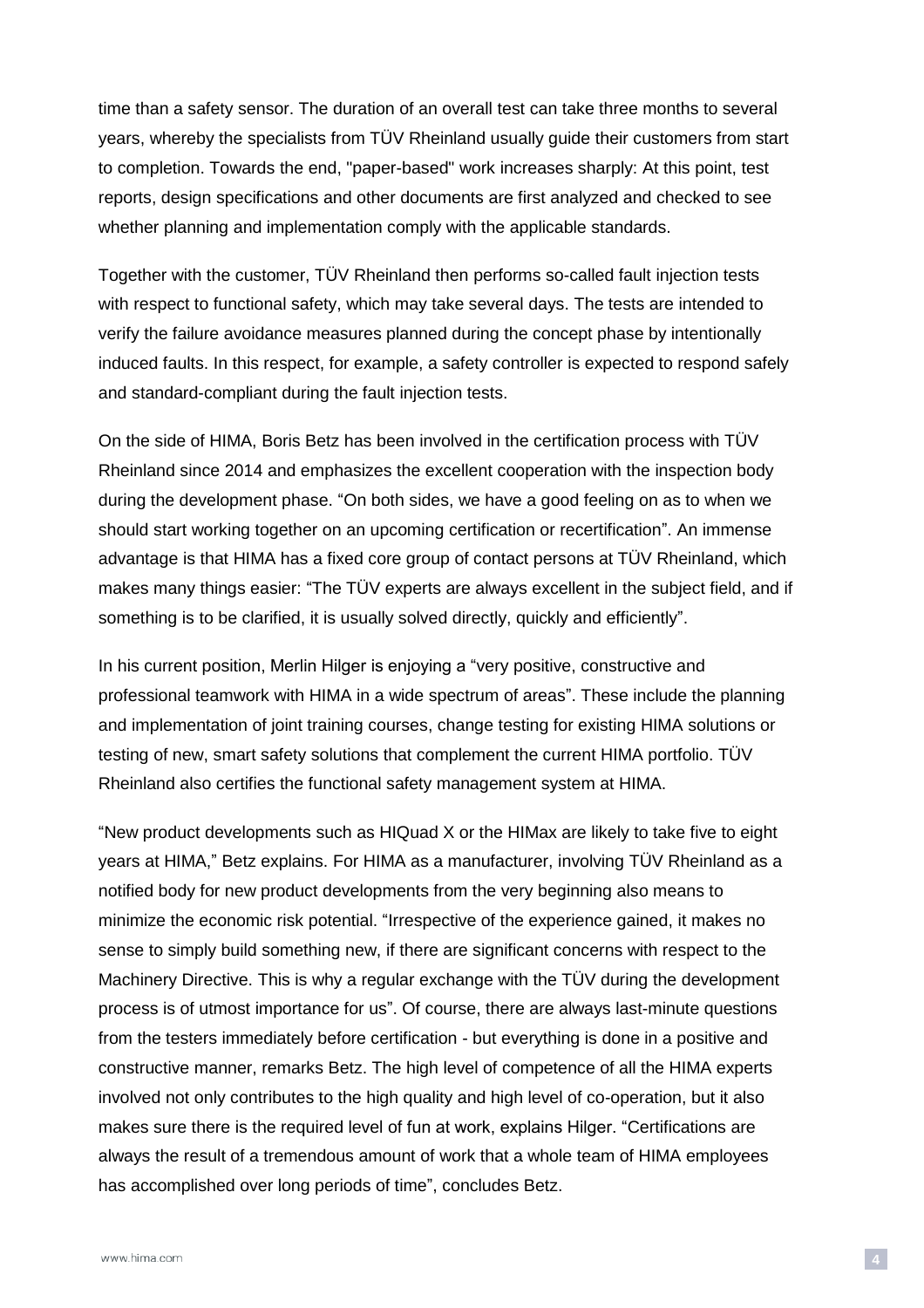time than a safety sensor. The duration of an overall test can take three months to several years, whereby the specialists from TÜV Rheinland usually guide their customers from start to completion. Towards the end, "paper-based" work increases sharply: At this point, test reports, design specifications and other documents are first analyzed and checked to see whether planning and implementation comply with the applicable standards.

Together with the customer, TÜV Rheinland then performs so-called fault injection tests with respect to functional safety, which may take several days. The tests are intended to verify the failure avoidance measures planned during the concept phase by intentionally induced faults. In this respect, for example, a safety controller is expected to respond safely and standard-compliant during the fault injection tests.

On the side of HIMA, Boris Betz has been involved in the certification process with TÜV Rheinland since 2014 and emphasizes the excellent cooperation with the inspection body during the development phase. "On both sides, we have a good feeling on as to when we should start working together on an upcoming certification or recertification". An immense advantage is that HIMA has a fixed core group of contact persons at TÜV Rheinland, which makes many things easier: "The TÜV experts are always excellent in the subject field, and if something is to be clarified, it is usually solved directly, quickly and efficiently".

In his current position, Merlin Hilger is enjoying a "very positive, constructive and professional teamwork with HIMA in a wide spectrum of areas". These include the planning and implementation of joint training courses, change testing for existing HIMA solutions or testing of new, smart safety solutions that complement the current HIMA portfolio. TÜV Rheinland also certifies the functional safety management system at HIMA.

"New product developments such as HIQuad X or the HIMax are likely to take five to eight years at HIMA," Betz explains. For HIMA as a manufacturer, involving TÜV Rheinland as a notified body for new product developments from the very beginning also means to minimize the economic risk potential. "Irrespective of the experience gained, it makes no sense to simply build something new, if there are significant concerns with respect to the Machinery Directive. This is why a regular exchange with the TÜV during the development process is of utmost importance for us". Of course, there are always last-minute questions from the testers immediately before certification - but everything is done in a positive and constructive manner, remarks Betz. The high level of competence of all the HIMA experts involved not only contributes to the high quality and high level of co-operation, but it also makes sure there is the required level of fun at work, explains Hilger. "Certifications are always the result of a tremendous amount of work that a whole team of HIMA employees has accomplished over long periods of time", concludes Betz.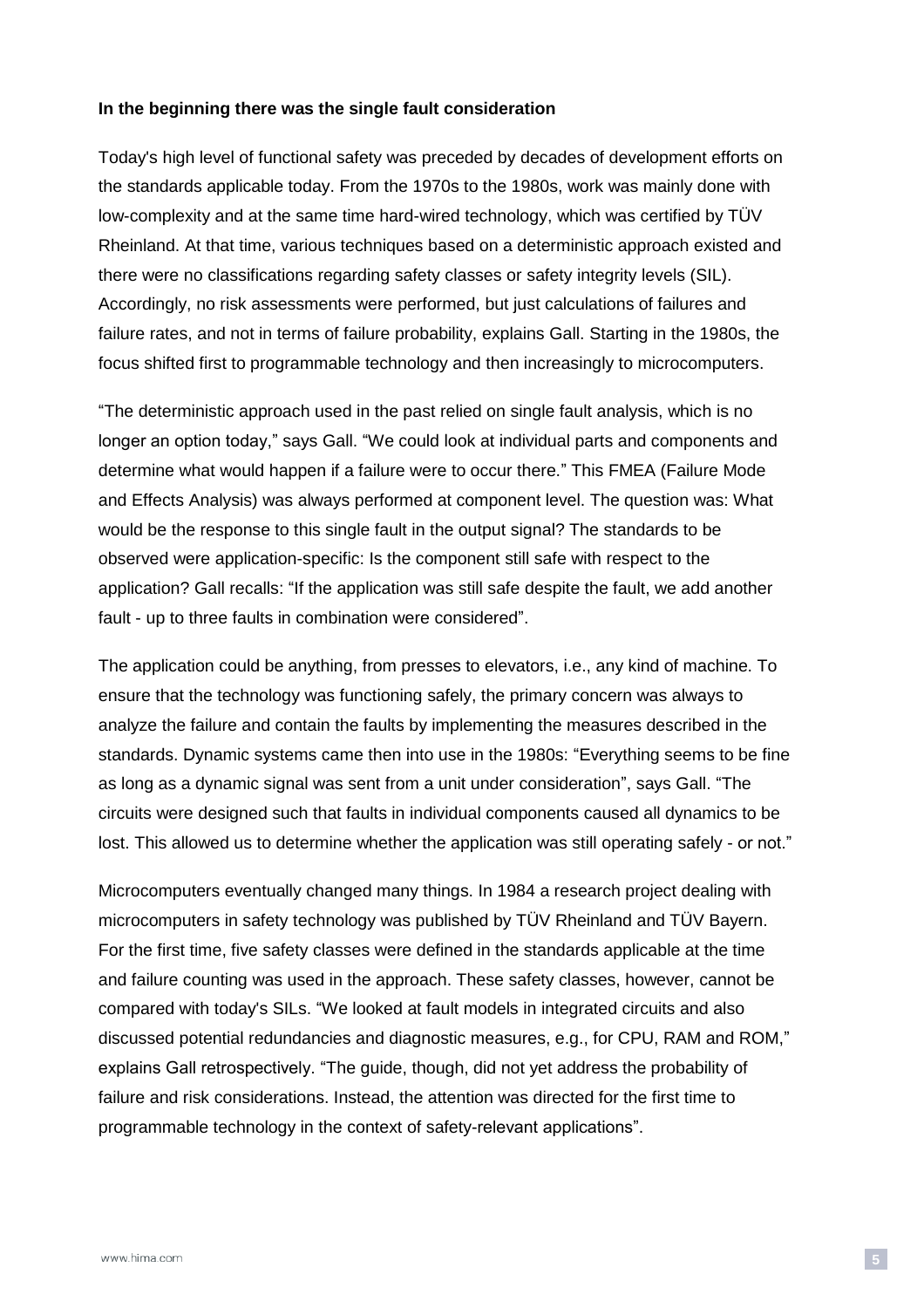#### **In the beginning there was the single fault consideration**

Today's high level of functional safety was preceded by decades of development efforts on the standards applicable today. From the 1970s to the 1980s, work was mainly done with low-complexity and at the same time hard-wired technology, which was certified by TÜV Rheinland. At that time, various techniques based on a deterministic approach existed and there were no classifications regarding safety classes or safety integrity levels (SIL). Accordingly, no risk assessments were performed, but just calculations of failures and failure rates, and not in terms of failure probability, explains Gall. Starting in the 1980s, the focus shifted first to programmable technology and then increasingly to microcomputers.

"The deterministic approach used in the past relied on single fault analysis, which is no longer an option today," says Gall. "We could look at individual parts and components and determine what would happen if a failure were to occur there." This FMEA (Failure Mode and Effects Analysis) was always performed at component level. The question was: What would be the response to this single fault in the output signal? The standards to be observed were application-specific: Is the component still safe with respect to the application? Gall recalls: "If the application was still safe despite the fault, we add another fault - up to three faults in combination were considered".

The application could be anything, from presses to elevators, i.e., any kind of machine. To ensure that the technology was functioning safely, the primary concern was always to analyze the failure and contain the faults by implementing the measures described in the standards. Dynamic systems came then into use in the 1980s: "Everything seems to be fine as long as a dynamic signal was sent from a unit under consideration", says Gall. "The circuits were designed such that faults in individual components caused all dynamics to be lost. This allowed us to determine whether the application was still operating safely - or not."

Microcomputers eventually changed many things. In 1984 a research project dealing with microcomputers in safety technology was published by TÜV Rheinland and TÜV Bayern. For the first time, five safety classes were defined in the standards applicable at the time and failure counting was used in the approach. These safety classes, however, cannot be compared with today's SILs. "We looked at fault models in integrated circuits and also discussed potential redundancies and diagnostic measures, e.g., for CPU, RAM and ROM," explains Gall retrospectively. "The guide, though, did not yet address the probability of failure and risk considerations. Instead, the attention was directed for the first time to programmable technology in the context of safety-relevant applications".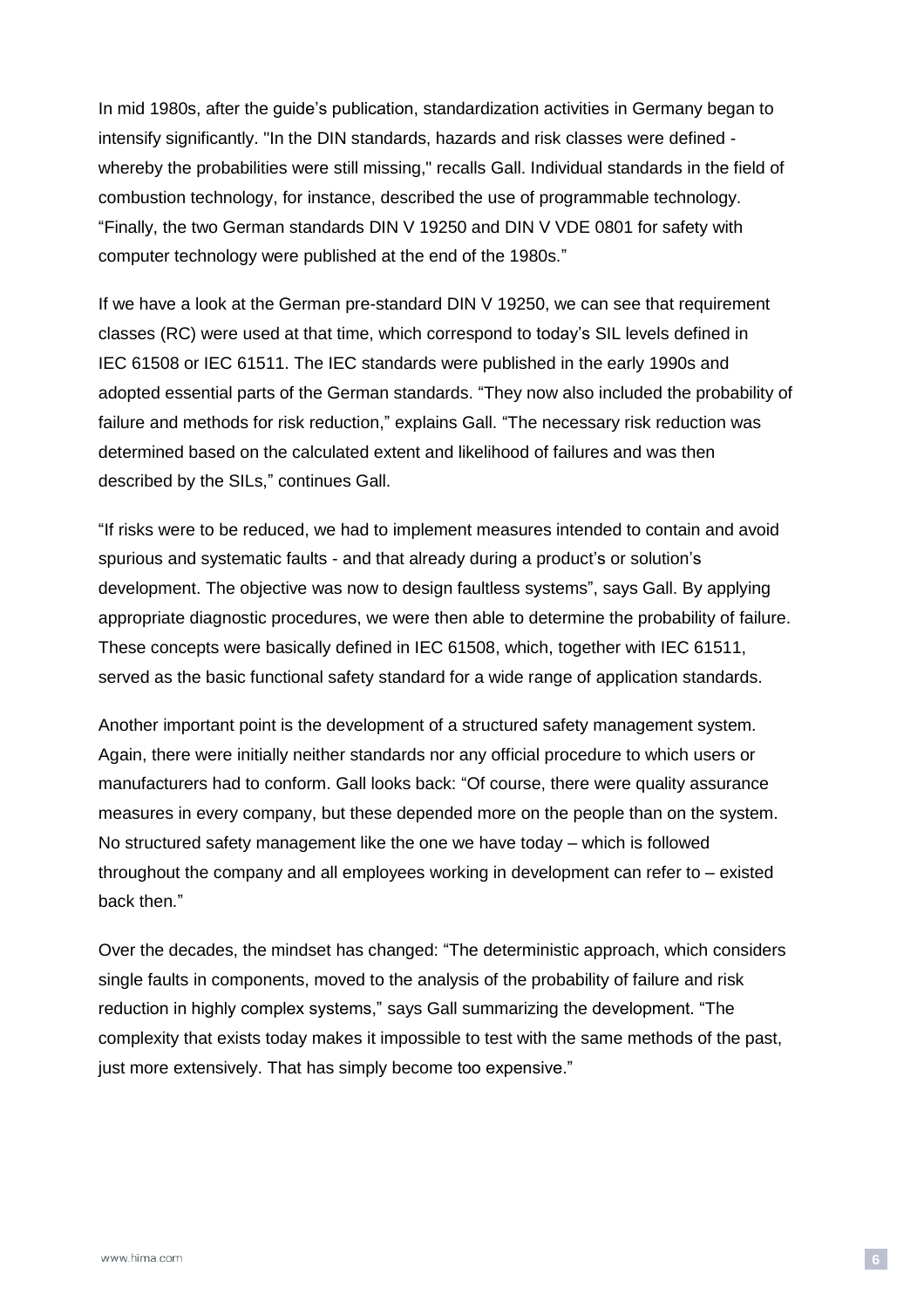In mid 1980s, after the guide's publication, standardization activities in Germany began to intensify significantly. "In the DIN standards, hazards and risk classes were defined whereby the probabilities were still missing," recalls Gall. Individual standards in the field of combustion technology, for instance, described the use of programmable technology. "Finally, the two German standards DIN V 19250 and DIN V VDE 0801 for safety with computer technology were published at the end of the 1980s."

If we have a look at the German pre-standard DIN V 19250, we can see that requirement classes (RC) were used at that time, which correspond to today's SIL levels defined in IEC 61508 or IEC 61511. The IEC standards were published in the early 1990s and adopted essential parts of the German standards. "They now also included the probability of failure and methods for risk reduction," explains Gall. "The necessary risk reduction was determined based on the calculated extent and likelihood of failures and was then described by the SILs," continues Gall.

"If risks were to be reduced, we had to implement measures intended to contain and avoid spurious and systematic faults - and that already during a product's or solution's development. The objective was now to design faultless systems", says Gall. By applying appropriate diagnostic procedures, we were then able to determine the probability of failure. These concepts were basically defined in IEC 61508, which, together with IEC 61511, served as the basic functional safety standard for a wide range of application standards.

Another important point is the development of a structured safety management system. Again, there were initially neither standards nor any official procedure to which users or manufacturers had to conform. Gall looks back: "Of course, there were quality assurance measures in every company, but these depended more on the people than on the system. No structured safety management like the one we have today – which is followed throughout the company and all employees working in development can refer to – existed back then."

Over the decades, the mindset has changed: "The deterministic approach, which considers single faults in components, moved to the analysis of the probability of failure and risk reduction in highly complex systems," says Gall summarizing the development. "The complexity that exists today makes it impossible to test with the same methods of the past, just more extensively. That has simply become too expensive."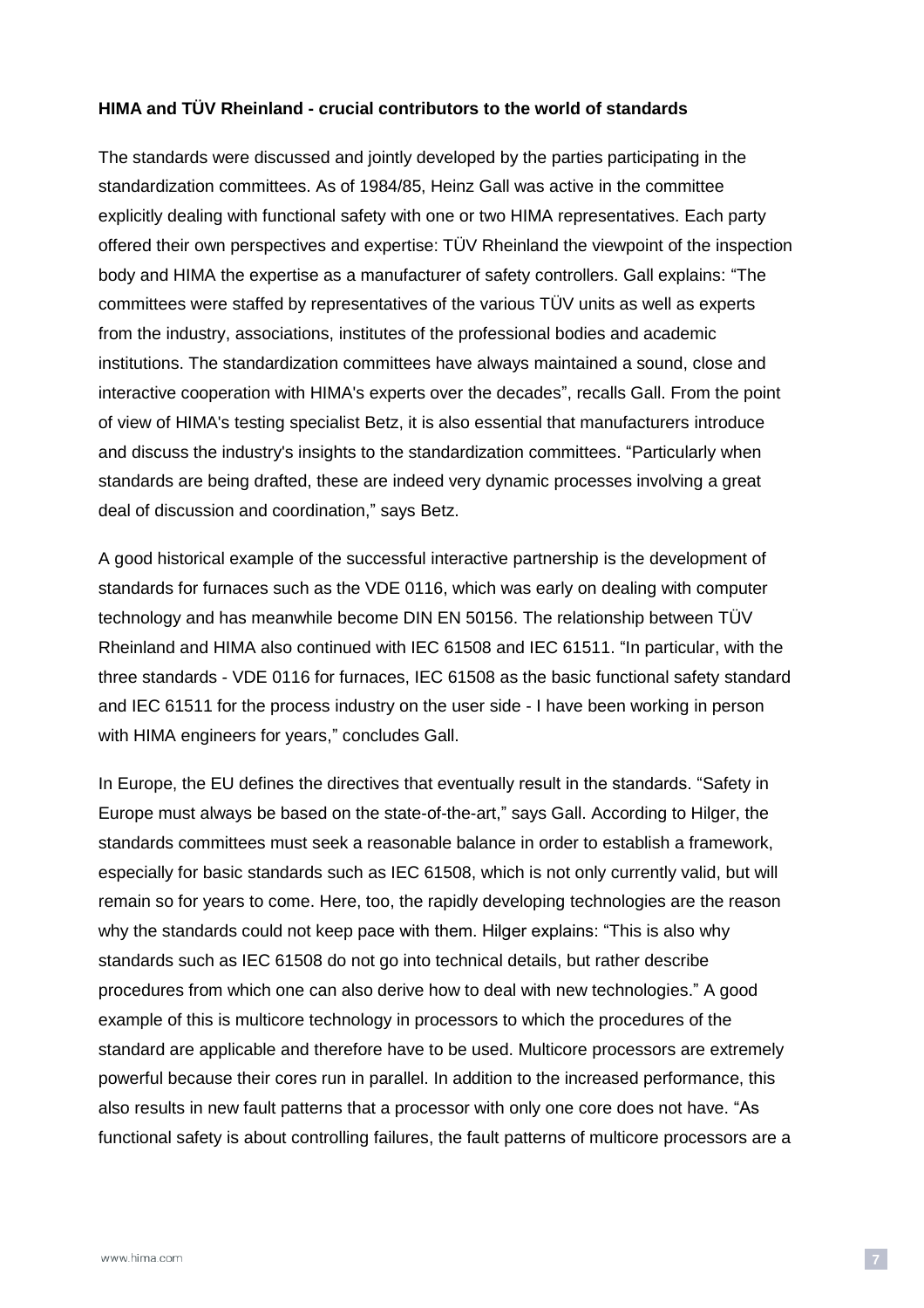#### **HIMA and TÜV Rheinland - crucial contributors to the world of standards**

The standards were discussed and jointly developed by the parties participating in the standardization committees. As of 1984/85, Heinz Gall was active in the committee explicitly dealing with functional safety with one or two HIMA representatives. Each party offered their own perspectives and expertise: TÜV Rheinland the viewpoint of the inspection body and HIMA the expertise as a manufacturer of safety controllers. Gall explains: "The committees were staffed by representatives of the various TÜV units as well as experts from the industry, associations, institutes of the professional bodies and academic institutions. The standardization committees have always maintained a sound, close and interactive cooperation with HIMA's experts over the decades", recalls Gall. From the point of view of HIMA's testing specialist Betz, it is also essential that manufacturers introduce and discuss the industry's insights to the standardization committees. "Particularly when standards are being drafted, these are indeed very dynamic processes involving a great deal of discussion and coordination," says Betz.

A good historical example of the successful interactive partnership is the development of standards for furnaces such as the VDE 0116, which was early on dealing with computer technology and has meanwhile become DIN EN 50156. The relationship between TÜV Rheinland and HIMA also continued with IEC 61508 and IEC 61511. "In particular, with the three standards - VDE 0116 for furnaces, IEC 61508 as the basic functional safety standard and IEC 61511 for the process industry on the user side - I have been working in person with HIMA engineers for years," concludes Gall.

In Europe, the EU defines the directives that eventually result in the standards. "Safety in Europe must always be based on the state-of-the-art," says Gall. According to Hilger, the standards committees must seek a reasonable balance in order to establish a framework, especially for basic standards such as IEC 61508, which is not only currently valid, but will remain so for years to come. Here, too, the rapidly developing technologies are the reason why the standards could not keep pace with them. Hilger explains: "This is also why standards such as IEC 61508 do not go into technical details, but rather describe procedures from which one can also derive how to deal with new technologies." A good example of this is multicore technology in processors to which the procedures of the standard are applicable and therefore have to be used. Multicore processors are extremely powerful because their cores run in parallel. In addition to the increased performance, this also results in new fault patterns that a processor with only one core does not have. "As functional safety is about controlling failures, the fault patterns of multicore processors are a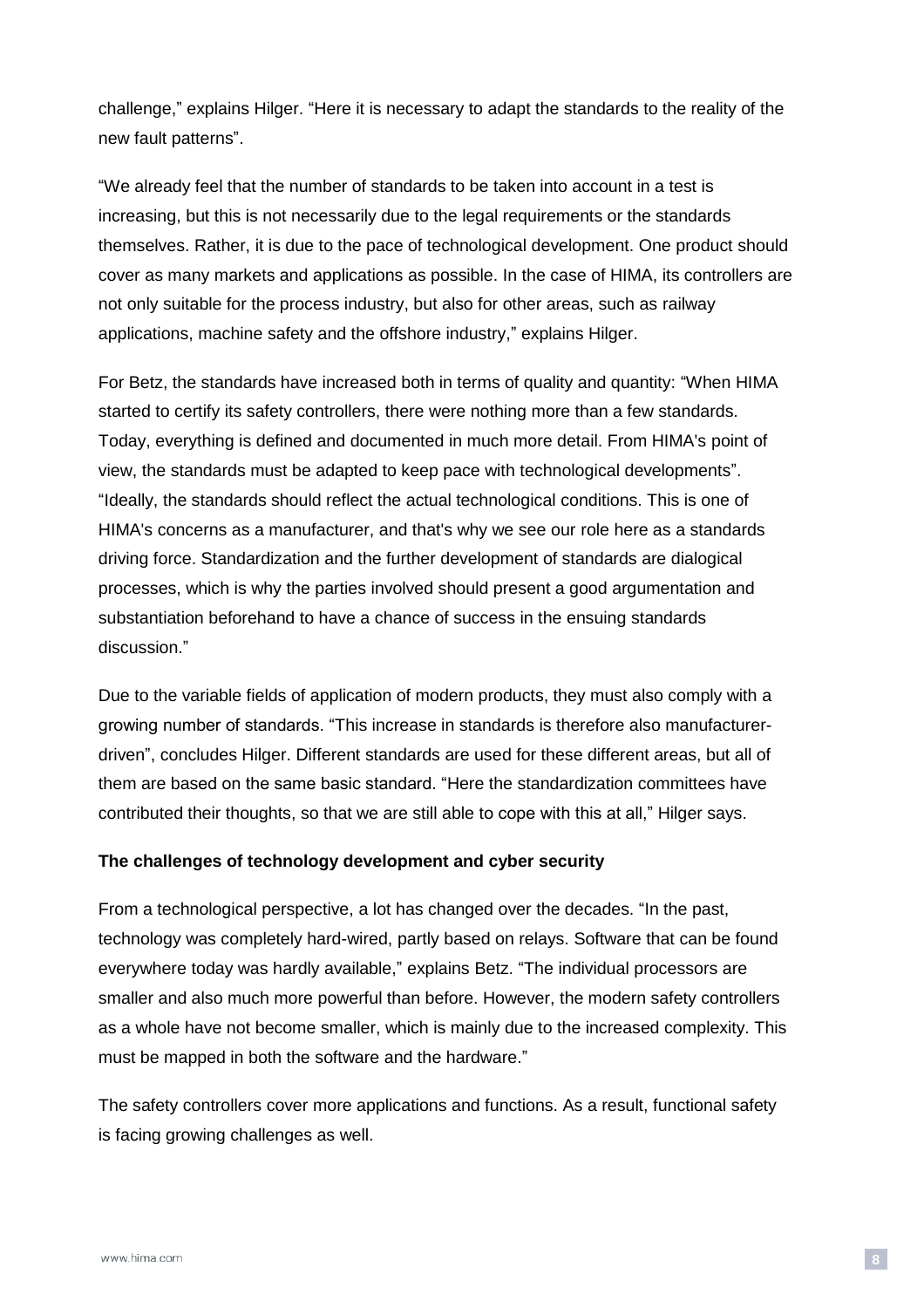challenge," explains Hilger. "Here it is necessary to adapt the standards to the reality of the new fault patterns".

"We already feel that the number of standards to be taken into account in a test is increasing, but this is not necessarily due to the legal requirements or the standards themselves. Rather, it is due to the pace of technological development. One product should cover as many markets and applications as possible. In the case of HIMA, its controllers are not only suitable for the process industry, but also for other areas, such as railway applications, machine safety and the offshore industry," explains Hilger.

For Betz, the standards have increased both in terms of quality and quantity: "When HIMA started to certify its safety controllers, there were nothing more than a few standards. Today, everything is defined and documented in much more detail. From HIMA's point of view, the standards must be adapted to keep pace with technological developments". "Ideally, the standards should reflect the actual technological conditions. This is one of HIMA's concerns as a manufacturer, and that's why we see our role here as a standards driving force. Standardization and the further development of standards are dialogical processes, which is why the parties involved should present a good argumentation and substantiation beforehand to have a chance of success in the ensuing standards discussion."

Due to the variable fields of application of modern products, they must also comply with a growing number of standards. "This increase in standards is therefore also manufacturerdriven", concludes Hilger. Different standards are used for these different areas, but all of them are based on the same basic standard. "Here the standardization committees have contributed their thoughts, so that we are still able to cope with this at all," Hilger says.

#### **The challenges of technology development and cyber security**

From a technological perspective, a lot has changed over the decades. "In the past, technology was completely hard-wired, partly based on relays. Software that can be found everywhere today was hardly available," explains Betz. "The individual processors are smaller and also much more powerful than before. However, the modern safety controllers as a whole have not become smaller, which is mainly due to the increased complexity. This must be mapped in both the software and the hardware."

The safety controllers cover more applications and functions. As a result, functional safety is facing growing challenges as well.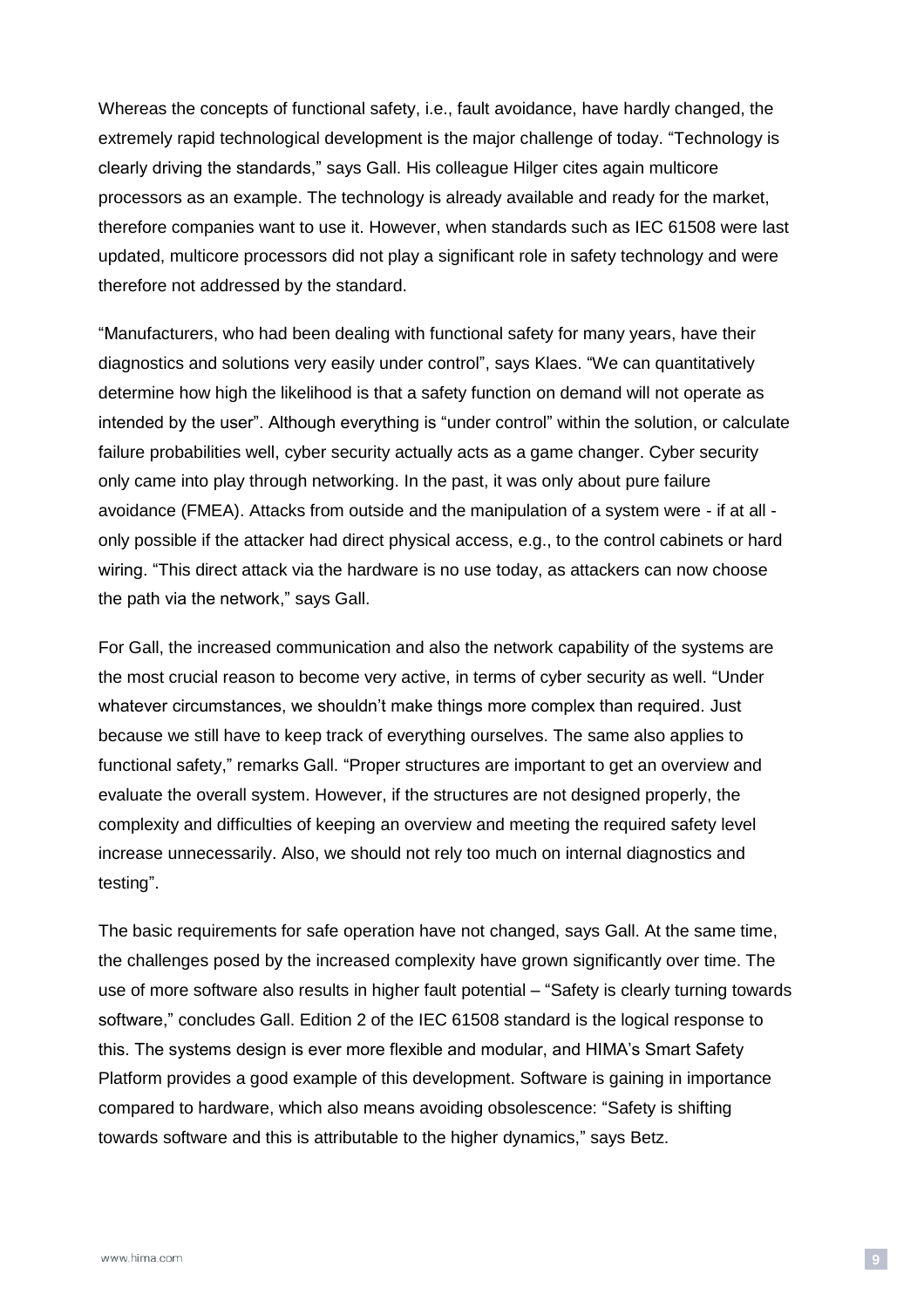Whereas the concepts of functional safety, i.e., fault avoidance, have hardly changed, the extremely rapid technological development is the major challenge of today. "Technology is clearly driving the standards," says Gall. His colleague Hilger cites again multicore processors as an example. The technology is already available and ready for the market, therefore companies want to use it. However, when standards such as IEC 61508 were last updated, multicore processors did not play a significant role in safety technology and were therefore not addressed by the standard.

"Manufacturers, who had been dealing with functional safety for many years, have their diagnostics and solutions very easily under control", says Klaes. "We can quantitatively determine how high the likelihood is that a safety function on demand will not operate as intended by the user". Although everything is "under control" within the solution, or calculate failure probabilities well, cyber security actually acts as a game changer. Cyber security only came into play through networking. In the past, it was only about pure failure avoidance (FMEA). Attacks from outside and the manipulation of a system were - if at all only possible if the attacker had direct physical access, e.g., to the control cabinets or hard wiring. "This direct attack via the hardware is no use today, as attackers can now choose the path via the network," says Gall.

For Gall, the increased communication and also the network capability of the systems are the most crucial reason to become very active, in terms of cyber security as well. "Under whatever circumstances, we shouldn't make things more complex than required. Just because we still have to keep track of everything ourselves. The same also applies to functional safety," remarks Gall. "Proper structures are important to get an overview and evaluate the overall system. However, if the structures are not designed properly, the complexity and difficulties of keeping an overview and meeting the required safety level increase unnecessarily. Also, we should not rely too much on internal diagnostics and testing".

The basic requirements for safe operation have not changed, says Gall. At the same time, the challenges posed by the increased complexity have grown significantly over time. The use of more software also results in higher fault potential – "Safety is clearly turning towards software," concludes Gall. Edition 2 of the IEC 61508 standard is the logical response to this. The systems design is ever more flexible and modular, and HIMA's Smart Safety Platform provides a good example of this development. Software is gaining in importance compared to hardware, which also means avoiding obsolescence: "Safety is shifting towards software and this is attributable to the higher dynamics," says Betz.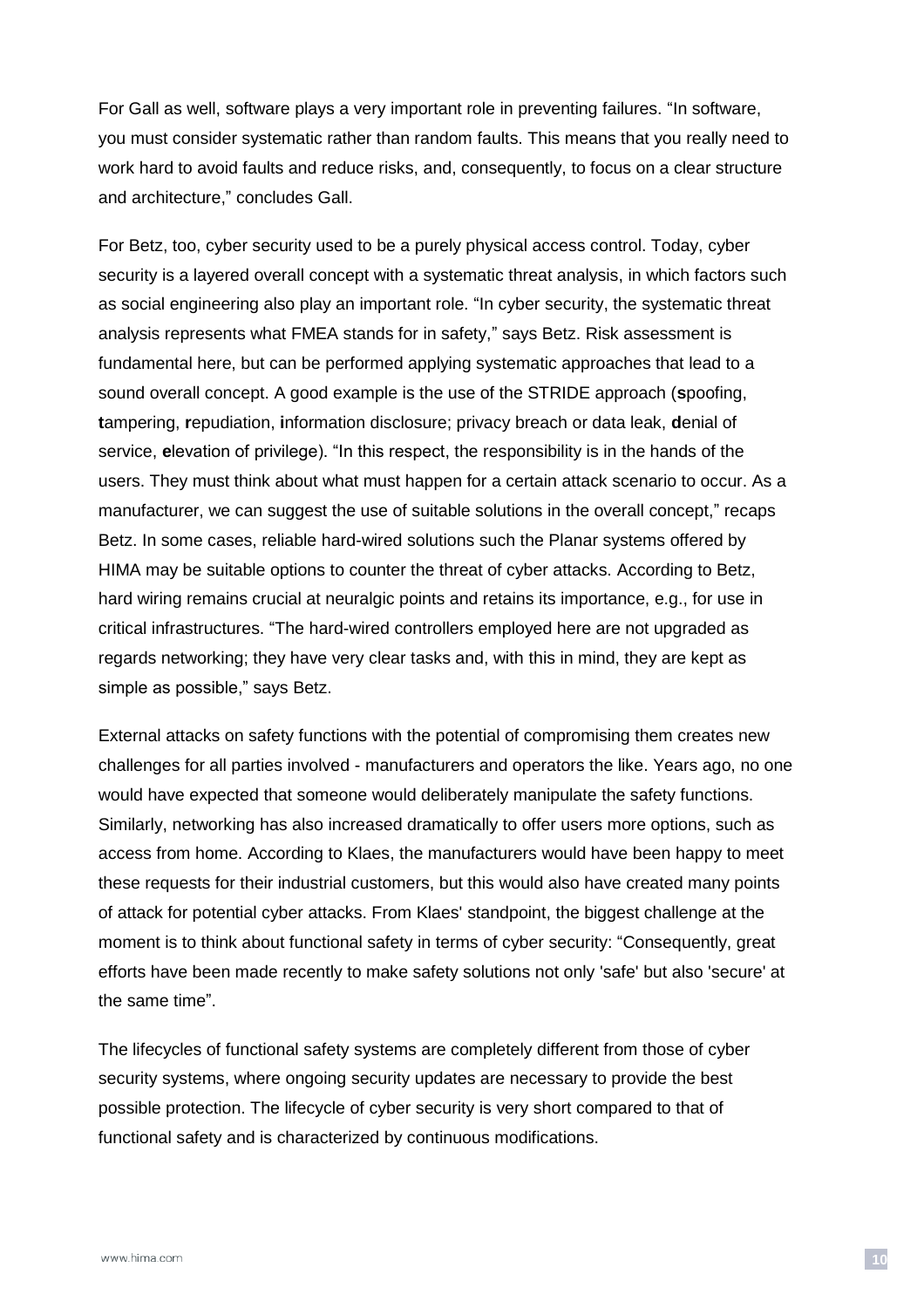For Gall as well, software plays a very important role in preventing failures. "In software, you must consider systematic rather than random faults. This means that you really need to work hard to avoid faults and reduce risks, and, consequently, to focus on a clear structure and architecture," concludes Gall.

For Betz, too, cyber security used to be a purely physical access control. Today, cyber security is a layered overall concept with a systematic threat analysis, in which factors such as social engineering also play an important role. "In cyber security, the systematic threat analysis represents what FMEA stands for in safety," says Betz. Risk assessment is fundamental here, but can be performed applying systematic approaches that lead to a sound overall concept. A good example is the use of the STRIDE approach (**s**poofing, **t**ampering, **r**epudiation, **i**nformation disclosure; privacy breach or data leak, **d**enial of service, **e**levation of privilege). "In this respect, the responsibility is in the hands of the users. They must think about what must happen for a certain attack scenario to occur. As a manufacturer, we can suggest the use of suitable solutions in the overall concept," recaps Betz. In some cases, reliable hard-wired solutions such the Planar systems offered by HIMA may be suitable options to counter the threat of cyber attacks. According to Betz, hard wiring remains crucial at neuralgic points and retains its importance, e.g., for use in critical infrastructures. "The hard-wired controllers employed here are not upgraded as regards networking; they have very clear tasks and, with this in mind, they are kept as simple as possible," says Betz.

External attacks on safety functions with the potential of compromising them creates new challenges for all parties involved - manufacturers and operators the like. Years ago, no one would have expected that someone would deliberately manipulate the safety functions. Similarly, networking has also increased dramatically to offer users more options, such as access from home. According to Klaes, the manufacturers would have been happy to meet these requests for their industrial customers, but this would also have created many points of attack for potential cyber attacks. From Klaes' standpoint, the biggest challenge at the moment is to think about functional safety in terms of cyber security: "Consequently, great efforts have been made recently to make safety solutions not only 'safe' but also 'secure' at the same time".

The lifecycles of functional safety systems are completely different from those of cyber security systems, where ongoing security updates are necessary to provide the best possible protection. The lifecycle of cyber security is very short compared to that of functional safety and is characterized by continuous modifications.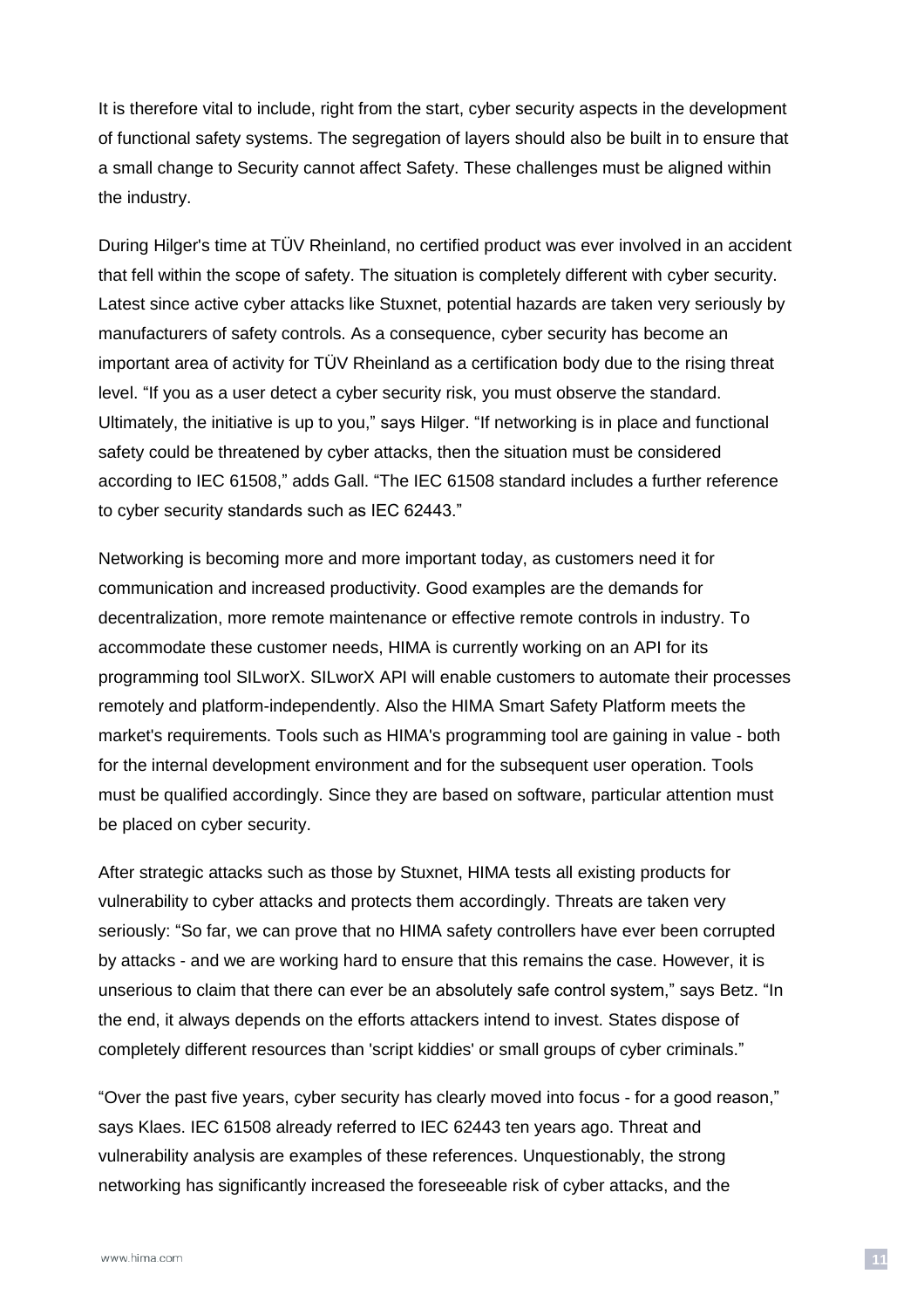It is therefore vital to include, right from the start, cyber security aspects in the development of functional safety systems. The segregation of layers should also be built in to ensure that a small change to Security cannot affect Safety. These challenges must be aligned within the industry.

During Hilger's time at TÜV Rheinland, no certified product was ever involved in an accident that fell within the scope of safety. The situation is completely different with cyber security. Latest since active cyber attacks like Stuxnet, potential hazards are taken very seriously by manufacturers of safety controls. As a consequence, cyber security has become an important area of activity for TÜV Rheinland as a certification body due to the rising threat level. "If you as a user detect a cyber security risk, you must observe the standard. Ultimately, the initiative is up to you," says Hilger. "If networking is in place and functional safety could be threatened by cyber attacks, then the situation must be considered according to IEC 61508," adds Gall. "The IEC 61508 standard includes a further reference to cyber security standards such as IEC 62443."

Networking is becoming more and more important today, as customers need it for communication and increased productivity. Good examples are the demands for decentralization, more remote maintenance or effective remote controls in industry. To accommodate these customer needs, HIMA is currently working on an API for its programming tool SILworX. SILworX API will enable customers to automate their processes remotely and platform-independently. Also the HIMA Smart Safety Platform meets the market's requirements. Tools such as HIMA's programming tool are gaining in value - both for the internal development environment and for the subsequent user operation. Tools must be qualified accordingly. Since they are based on software, particular attention must be placed on cyber security.

After strategic attacks such as those by Stuxnet, HIMA tests all existing products for vulnerability to cyber attacks and protects them accordingly. Threats are taken very seriously: "So far, we can prove that no HIMA safety controllers have ever been corrupted by attacks - and we are working hard to ensure that this remains the case. However, it is unserious to claim that there can ever be an absolutely safe control system," says Betz. "In the end, it always depends on the efforts attackers intend to invest. States dispose of completely different resources than 'script kiddies' or small groups of cyber criminals."

"Over the past five years, cyber security has clearly moved into focus - for a good reason," says Klaes. IEC 61508 already referred to IEC 62443 ten years ago. Threat and vulnerability analysis are examples of these references. Unquestionably, the strong networking has significantly increased the foreseeable risk of cyber attacks, and the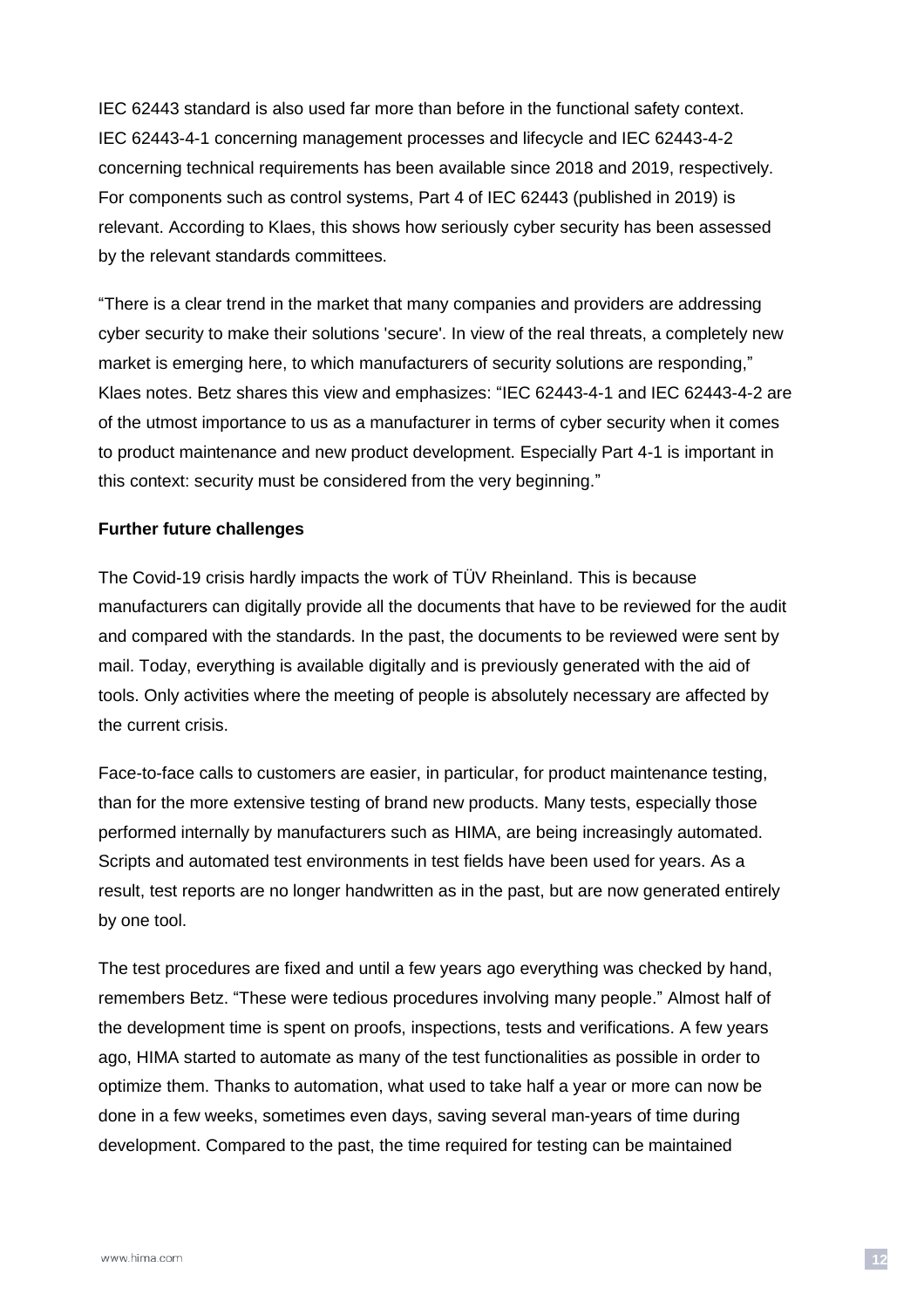IEC 62443 standard is also used far more than before in the functional safety context. IEC 62443-4-1 concerning management processes and lifecycle and IEC 62443-4-2 concerning technical requirements has been available since 2018 and 2019, respectively. For components such as control systems, Part 4 of IEC 62443 (published in 2019) is relevant. According to Klaes, this shows how seriously cyber security has been assessed by the relevant standards committees.

"There is a clear trend in the market that many companies and providers are addressing cyber security to make their solutions 'secure'. In view of the real threats, a completely new market is emerging here, to which manufacturers of security solutions are responding," Klaes notes. Betz shares this view and emphasizes: "IEC 62443-4-1 and IEC 62443-4-2 are of the utmost importance to us as a manufacturer in terms of cyber security when it comes to product maintenance and new product development. Especially Part 4-1 is important in this context: security must be considered from the very beginning."

#### **Further future challenges**

The Covid-19 crisis hardly impacts the work of TÜV Rheinland. This is because manufacturers can digitally provide all the documents that have to be reviewed for the audit and compared with the standards. In the past, the documents to be reviewed were sent by mail. Today, everything is available digitally and is previously generated with the aid of tools. Only activities where the meeting of people is absolutely necessary are affected by the current crisis.

Face-to-face calls to customers are easier, in particular, for product maintenance testing, than for the more extensive testing of brand new products. Many tests, especially those performed internally by manufacturers such as HIMA, are being increasingly automated. Scripts and automated test environments in test fields have been used for years. As a result, test reports are no longer handwritten as in the past, but are now generated entirely by one tool.

The test procedures are fixed and until a few years ago everything was checked by hand, remembers Betz. "These were tedious procedures involving many people." Almost half of the development time is spent on proofs, inspections, tests and verifications. A few years ago, HIMA started to automate as many of the test functionalities as possible in order to optimize them. Thanks to automation, what used to take half a year or more can now be done in a few weeks, sometimes even days, saving several man-years of time during development. Compared to the past, the time required for testing can be maintained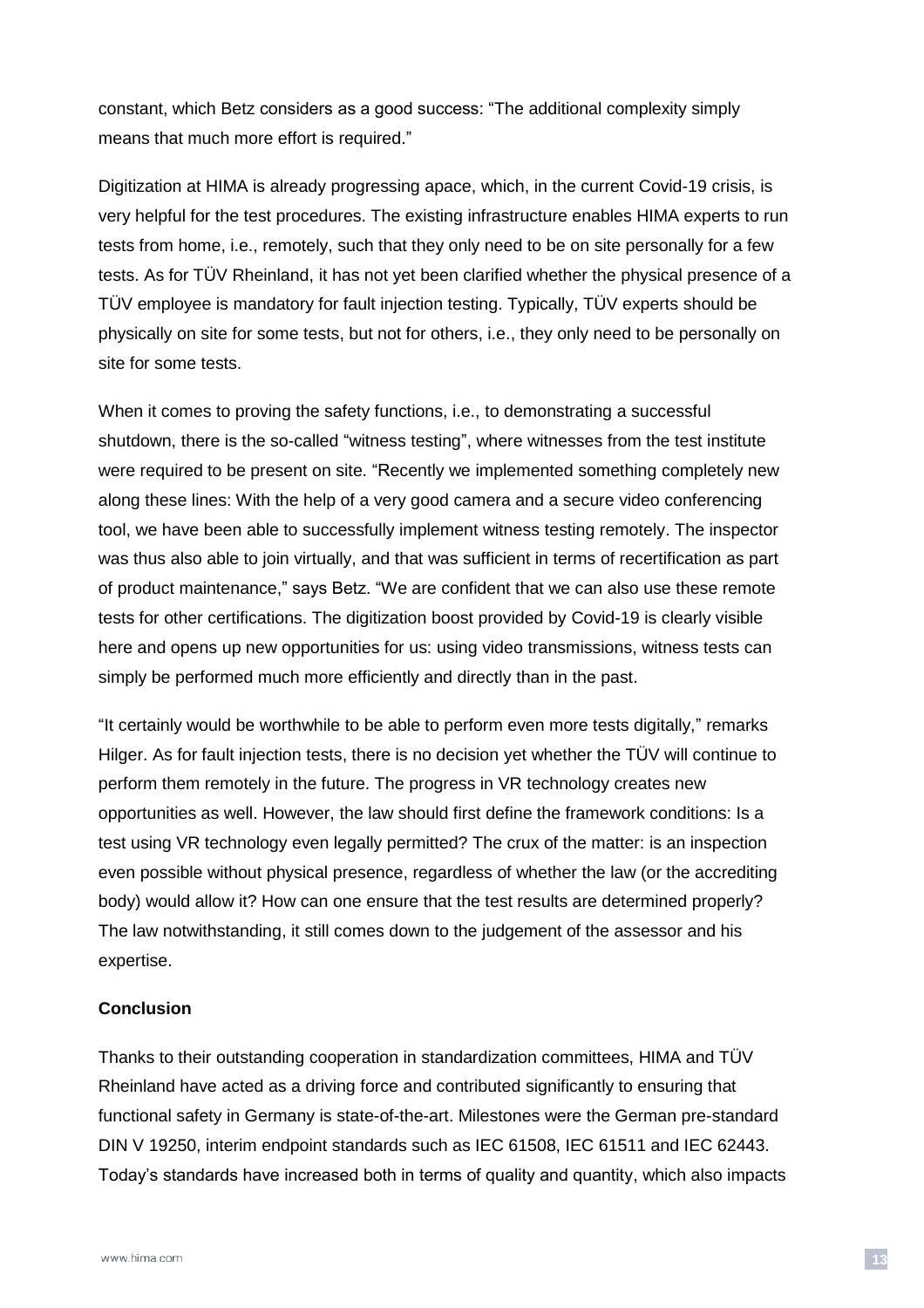constant, which Betz considers as a good success: "The additional complexity simply means that much more effort is required."

Digitization at HIMA is already progressing apace, which, in the current Covid-19 crisis, is very helpful for the test procedures. The existing infrastructure enables HIMA experts to run tests from home, i.e., remotely, such that they only need to be on site personally for a few tests. As for TÜV Rheinland, it has not yet been clarified whether the physical presence of a TÜV employee is mandatory for fault injection testing. Typically, TÜV experts should be physically on site for some tests, but not for others, i.e., they only need to be personally on site for some tests.

When it comes to proving the safety functions, i.e., to demonstrating a successful shutdown, there is the so-called "witness testing", where witnesses from the test institute were required to be present on site. "Recently we implemented something completely new along these lines: With the help of a very good camera and a secure video conferencing tool, we have been able to successfully implement witness testing remotely. The inspector was thus also able to join virtually, and that was sufficient in terms of recertification as part of product maintenance," says Betz. "We are confident that we can also use these remote tests for other certifications. The digitization boost provided by Covid-19 is clearly visible here and opens up new opportunities for us: using video transmissions, witness tests can simply be performed much more efficiently and directly than in the past.

"It certainly would be worthwhile to be able to perform even more tests digitally," remarks Hilger. As for fault injection tests, there is no decision yet whether the TÜV will continue to perform them remotely in the future. The progress in VR technology creates new opportunities as well. However, the law should first define the framework conditions: Is a test using VR technology even legally permitted? The crux of the matter: is an inspection even possible without physical presence, regardless of whether the law (or the accrediting body) would allow it? How can one ensure that the test results are determined properly? The law notwithstanding, it still comes down to the judgement of the assessor and his expertise.

#### **Conclusion**

Thanks to their outstanding cooperation in standardization committees, HIMA and TÜV Rheinland have acted as a driving force and contributed significantly to ensuring that functional safety in Germany is state-of-the-art. Milestones were the German pre-standard DIN V 19250, interim endpoint standards such as IEC 61508, IEC 61511 and IEC 62443. Today's standards have increased both in terms of quality and quantity, which also impacts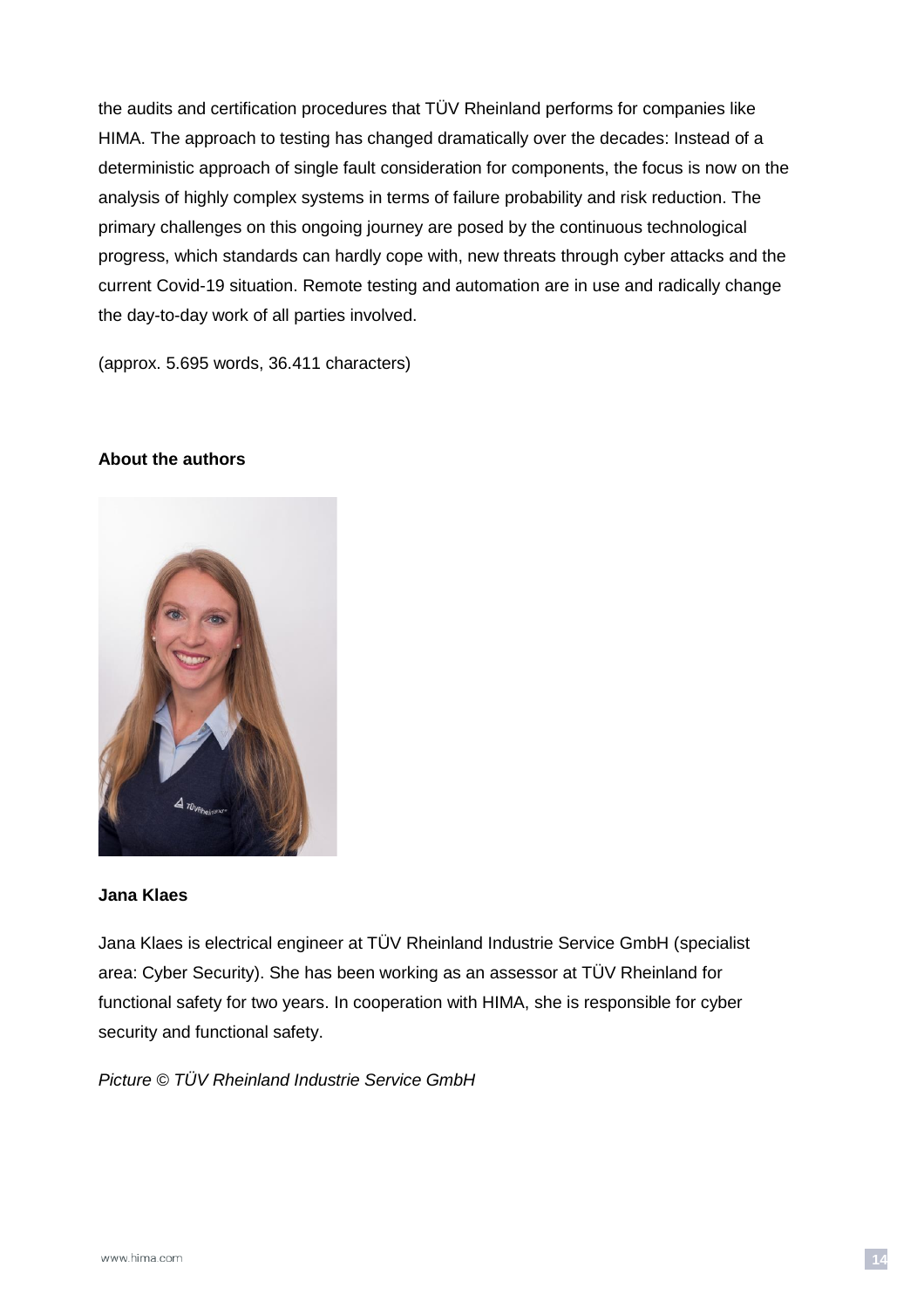the audits and certification procedures that TÜV Rheinland performs for companies like HIMA. The approach to testing has changed dramatically over the decades: Instead of a deterministic approach of single fault consideration for components, the focus is now on the analysis of highly complex systems in terms of failure probability and risk reduction. The primary challenges on this ongoing journey are posed by the continuous technological progress, which standards can hardly cope with, new threats through cyber attacks and the current Covid-19 situation. Remote testing and automation are in use and radically change the day-to-day work of all parties involved.

(approx. 5.695 words, 36.411 characters)

#### **About the authors**



#### **Jana Klaes**

Jana Klaes is electrical engineer at TÜV Rheinland Industrie Service GmbH (specialist area: Cyber Security). She has been working as an assessor at TÜV Rheinland for functional safety for two years. In cooperation with HIMA, she is responsible for cyber security and functional safety.

*Picture © TÜV Rheinland Industrie Service GmbH*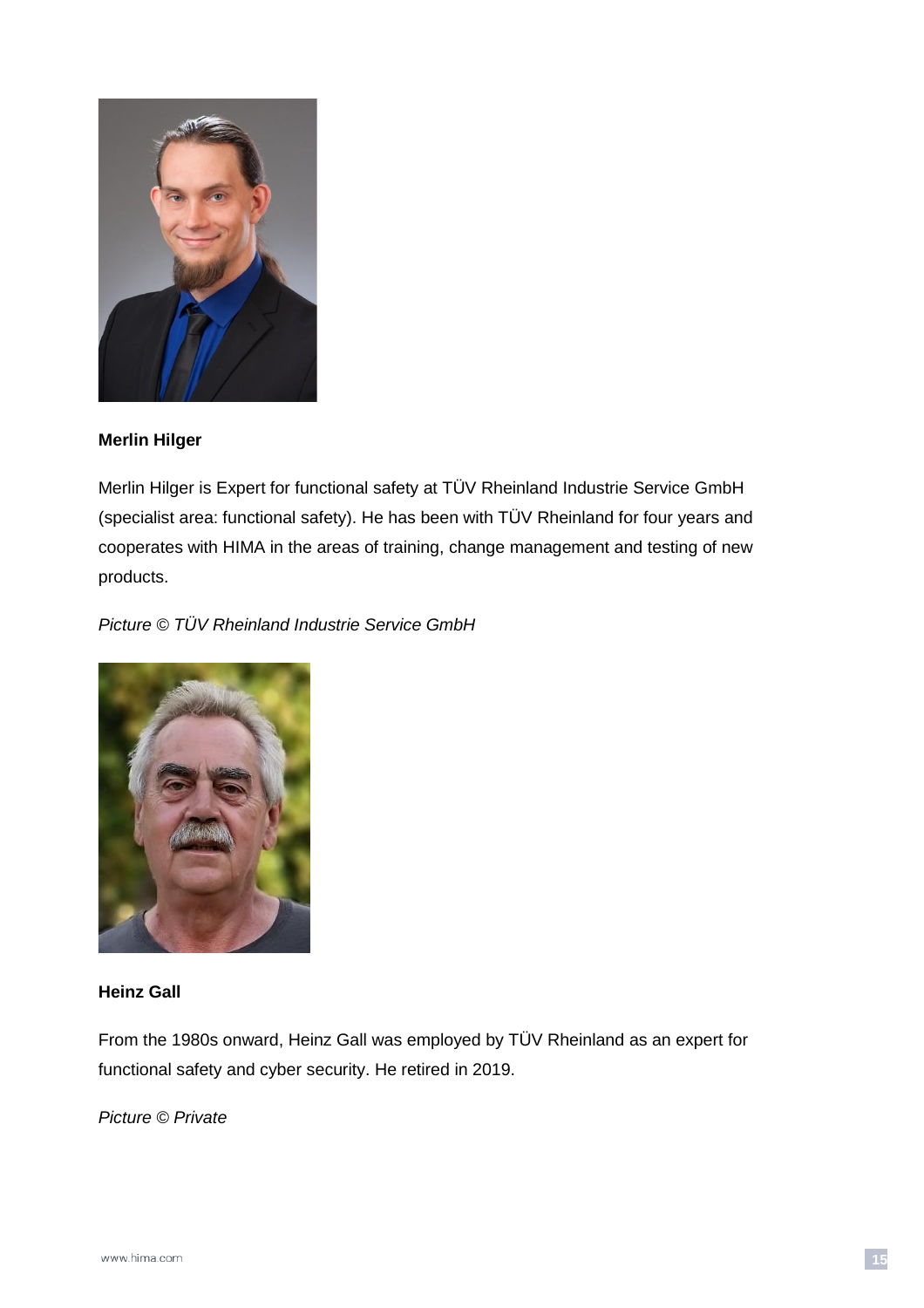

#### **Merlin Hilger**

Merlin Hilger is Expert for functional safety at TÜV Rheinland Industrie Service GmbH (specialist area: functional safety). He has been with TÜV Rheinland for four years and cooperates with HIMA in the areas of training, change management and testing of new products.

*Picture © TÜV Rheinland Industrie Service GmbH*



#### **Heinz Gall**

From the 1980s onward, Heinz Gall was employed by TÜV Rheinland as an expert for functional safety and cyber security. He retired in 2019.

*Picture © Private*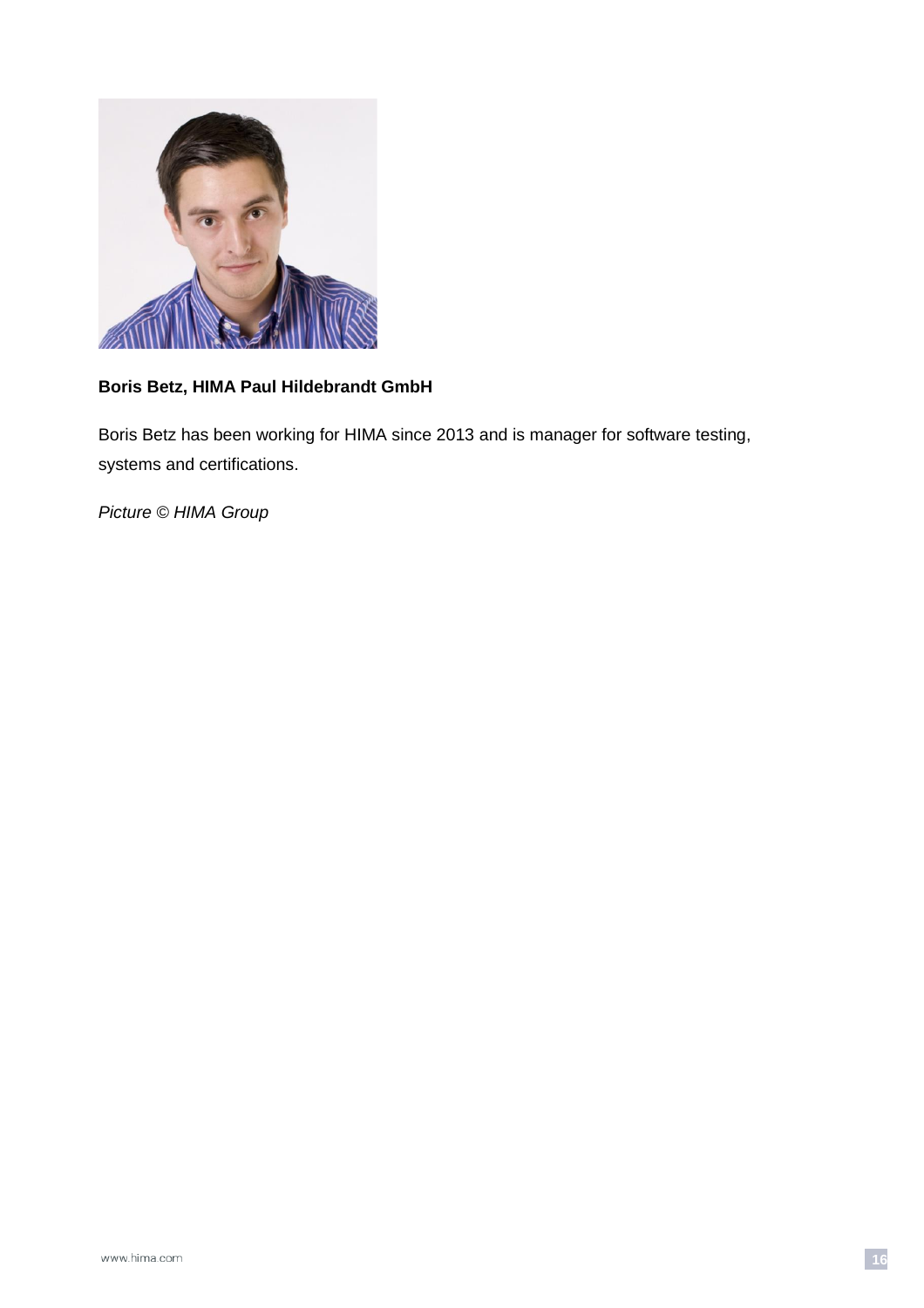

### **Boris Betz, HIMA Paul Hildebrandt GmbH**

Boris Betz has been working for HIMA since 2013 and is manager for software testing, systems and certifications.

*Picture © HIMA Group*